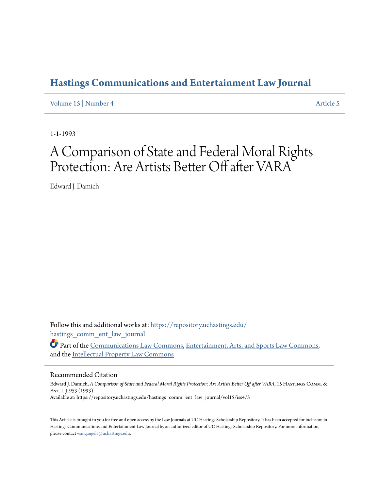# **[Hastings Communications and Entertainment Law Journal](https://repository.uchastings.edu/hastings_comm_ent_law_journal?utm_source=repository.uchastings.edu%2Fhastings_comm_ent_law_journal%2Fvol15%2Fiss4%2F5&utm_medium=PDF&utm_campaign=PDFCoverPages)**

[Volume 15](https://repository.uchastings.edu/hastings_comm_ent_law_journal/vol15?utm_source=repository.uchastings.edu%2Fhastings_comm_ent_law_journal%2Fvol15%2Fiss4%2F5&utm_medium=PDF&utm_campaign=PDFCoverPages) | [Number 4](https://repository.uchastings.edu/hastings_comm_ent_law_journal/vol15/iss4?utm_source=repository.uchastings.edu%2Fhastings_comm_ent_law_journal%2Fvol15%2Fiss4%2F5&utm_medium=PDF&utm_campaign=PDFCoverPages) [Article 5](https://repository.uchastings.edu/hastings_comm_ent_law_journal/vol15/iss4/5?utm_source=repository.uchastings.edu%2Fhastings_comm_ent_law_journal%2Fvol15%2Fiss4%2F5&utm_medium=PDF&utm_campaign=PDFCoverPages)

1-1-1993

# A Comparison of State and Federal Moral Rights Protection: Are Artists Better Off after VARA

Edward J. Damich

Follow this and additional works at: [https://repository.uchastings.edu/](https://repository.uchastings.edu/hastings_comm_ent_law_journal?utm_source=repository.uchastings.edu%2Fhastings_comm_ent_law_journal%2Fvol15%2Fiss4%2F5&utm_medium=PDF&utm_campaign=PDFCoverPages) [hastings\\_comm\\_ent\\_law\\_journal](https://repository.uchastings.edu/hastings_comm_ent_law_journal?utm_source=repository.uchastings.edu%2Fhastings_comm_ent_law_journal%2Fvol15%2Fiss4%2F5&utm_medium=PDF&utm_campaign=PDFCoverPages)

Part of the [Communications Law Commons,](http://network.bepress.com/hgg/discipline/587?utm_source=repository.uchastings.edu%2Fhastings_comm_ent_law_journal%2Fvol15%2Fiss4%2F5&utm_medium=PDF&utm_campaign=PDFCoverPages) [Entertainment, Arts, and Sports Law Commons,](http://network.bepress.com/hgg/discipline/893?utm_source=repository.uchastings.edu%2Fhastings_comm_ent_law_journal%2Fvol15%2Fiss4%2F5&utm_medium=PDF&utm_campaign=PDFCoverPages) and the [Intellectual Property Law Commons](http://network.bepress.com/hgg/discipline/896?utm_source=repository.uchastings.edu%2Fhastings_comm_ent_law_journal%2Fvol15%2Fiss4%2F5&utm_medium=PDF&utm_campaign=PDFCoverPages)

## Recommended Citation

Edward J. Damich, *A Comparison of State and Federal Moral Rights Protection: Are Artists Better Off after VARA*, 15 Hastings Comm. & Ent. L.J. 953 (1993). Available at: https://repository.uchastings.edu/hastings\_comm\_ent\_law\_journal/vol15/iss4/5

This Article is brought to you for free and open access by the Law Journals at UC Hastings Scholarship Repository. It has been accepted for inclusion in Hastings Communications and Entertainment Law Journal by an authorized editor of UC Hastings Scholarship Repository. For more information, please contact [wangangela@uchastings.edu.](mailto:wangangela@uchastings.edu)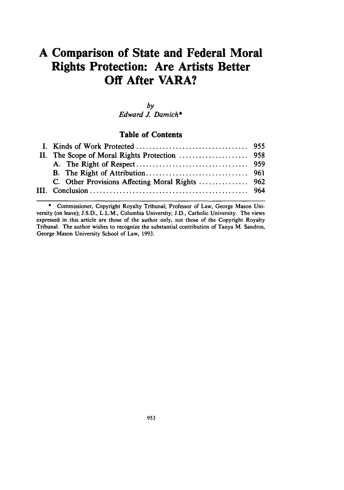# **A Comparison of State and Federal Moral Rights Protection: Are Artists Better Off After VARA?**

*by Edward J. Damich\**

## **Table of Contents**

**\*** Commissioner, Copyright Royalty Tribunal; Professor of Law, George Mason University (on leave); **J.S.D.,** L.L.M., Columbia University; **J.D.,** Catholic University. The views expressed in this article are those of the author only, not those of the Copyright Royalty Tribunal. The author wishes to recognize the substantial contribution of Tanya M. Sandros, George Mason University School of Law, **1993.**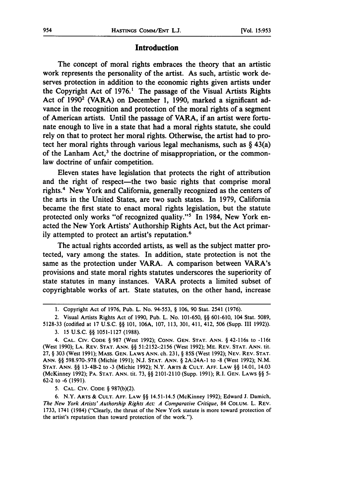#### **Introduction**

The concept of moral rights embraces the theory that an artistic work represents the personality of the artist. As such, artistic work deserves protection in addition to the economic rights given artists under the Copyright Act of **1976.1** The passage of the Visual Artists Rights Act of **19902** (VARA) on December **1, 1990,** marked a significant advance in the recognition and protection of the moral rights of a segment of American artists. Until the passage of VARA, if an artist were fortunate enough to live in a state that had a moral rights statute, she could rely on that to protect her moral rights. Otherwise, the artist had to protect her moral rights through various legal mechanisms, such as **§** 43(a) of the Lanham Act,<sup>3</sup> the doctrine of misappropriation, or the commonlaw doctrine of unfair competition.

Eleven states have legislation that protects the right of attribution and the right of respect—the two basic rights that comprise moral rights.4 New York and California, generally recognized as the centers of the arts in the United States, are two such states. In **1979,** California became the first state to enact moral rights legislation, but the statute protected only works "of recognized quality."5 In 1984, New York enacted the New York Artists' Authorship Rights Act, but the Act primarily attempted to protect an artist's reputation.6

The actual rights accorded artists, as well as the subject matter protected, vary among the states. In addition, state protection is not the same as the protection under VARA. **A** comparison between VARA's provisions and state moral rights statutes underscores the superiority of state statutes in many instances. VARA protects a limited subset of copyrightable works of art. State statutes, on the other hand, increase

**5. CAL. CIv. CODE § 987(b)(2).**

**6.** N.Y. **ARTS & CULT. AFF. LAW §§** 14.51-14.5 (McKinney **1992);** Edward **J.** Damich, The New *York Artists' Authorship Rights Act: A Comparative Critique,* 84 COLUM. L. REV. 1733, 1741 (1984) ("Clearly, the thrust of the New York statute is more toward protection of the artist's reputation than toward protection of the work.").

**<sup>1.</sup>** Copyright Act of **1976,** Pub. L. No. **94-553, § 106, 90** Stat. 2541 **(1976).**

<sup>2.</sup> Visual Artists Rights Act of **1990,** Pub. L. No. **101-650, §§ 601-610,** 104 Stat. **5089, 5128-33** (codified at **17 U.S.C. §§ 101, 106A, 107, 113, 301,** 411, 412, **506** (Supp. **III 1992)).**

**<sup>3. 15</sup> U.S.C. §§ 1051-1127 (1988).**

<sup>4.</sup> **CAL. CIV. CODE § 987** (West **1992); CONN. GEN. STAT. ANN. §** 42-116s to **-l16t** (West **1990); LA. REV. STAT. ANN. §§ 51:2152-:2156** (West **1992);** ME. **REV. STAT. ANN. tit. 27, § 303** (West **1991); MASS. GEN. LAWS ANN.** ch. **231, § 85S** (West **1992); NEV. REV. STAT. ANN. §§ 598.970-.978** (Michie **1991); N.J. STAT. ANN. §** 2A:24A-1 to **-8** (West **1992); N.M. STAT. ANN. §§** 13-4B-2 to **-3** (Michie **1992);** N.Y. **ARTS & CULT. AFF. LAW §§** 14.01, 14.03 (McKinney **1992);** PA. **STAT. ANN. tit. 73, §§** 2101-2110 (Supp. **1991);** R.I. **GEN. LAWS §§ 5- 62-2** to **-6 (1991).**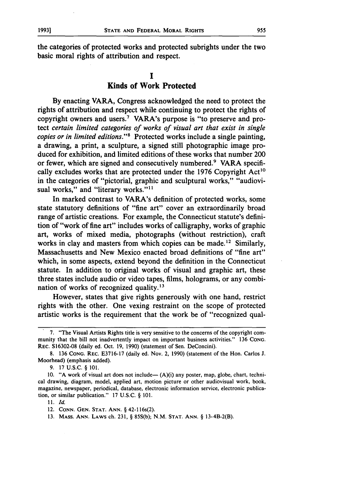the categories of protected works and protected subrights under the two basic moral rights of attribution and respect.

**By** enacting VARA, Congress acknowledged the need to protect the rights of attribution and respect while continuing to protect the rights of copyright owners and users.' VARA's purpose is "to preserve and protect *certain limited categories of works of visual art that exist in single copies or in limited editions."* Protected works include a single painting, a drawing, a print, a sculpture, a signed still photographic image produced for exhibition, and limited editions of these works that number 200 or fewer, which are signed and consecutively numbered.9 VARA specifically excludes works that are protected under the 1976 Copyright  $Act^{10}$ in the categories of "pictorial, graphic and sculptural works," "audiovisual works," and "literary works."<sup>11</sup>

In marked contrast to VARA's definition of protected works, some state statutory definitions of "fine art" cover an extraordinarily broad range of artistic creations. For example, the Connecticut statute's definition of "work of fine art" includes works of calligraphy, works of graphic art, works of mixed media, photographs (without restriction), craft works in clay and masters from which copies can be made.<sup>12</sup> Similarly, Massachusetts and New Mexico enacted broad definitions of "fine art" which, in some aspects, extend beyond the definition in the Connecticut statute. In addition to original works of visual and graphic art, these three states include audio or video tapes, films, holograms, or any combination of works of recognized quality.<sup>13</sup>

However, states that give rights generously with one hand, restrict rights with the other. One vexing restraint on the scope of protected artistic works is the requirement that the work be of "recognized qual-

<sup>7. &</sup>quot;The Visual Artists Rights title is very sensitive to the concerns of the copyright community that the bill not inadvertently impact on important business activities." 136 CONG. REC. S16302-08 (daily ed. Oct. 19, 1990) (statement of Sen. DeConcini).

**<sup>8.</sup>** 136 **CONG.** REC. E3716-17 (daily ed. Nov. 2, 1990) (statement of the Hon. Carlos J. Moorhead) (emphasis added).

<sup>9. 17</sup> U.S.C. § 101.

<sup>10. &</sup>quot;A work of visual art does not include-  $(A)(i)$  any poster, map, globe, chart, technical drawing, diagram, model, applied art, motion picture or other audiovisual work, book, magazine, newspaper, periodical, database, electronic information service, electronic publication, or similar publication." 17 U.S.C. § 101.

<sup>11.</sup> *Id.*

<sup>12.</sup> **CONN. GEN. STAT. ANN.** § 42-116s(2).

**<sup>13.</sup>** MASS. **ANN. LAWS** ch. 231, § **85S(b);** N.M. **STAT. ANN.** § 13-4B-2(B).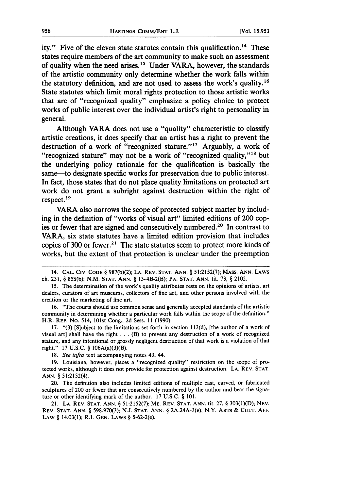ity." Five of the eleven state statutes contain this qualification.<sup>14</sup> These states require members of the art community to make such an assessment of quality when the need arises.<sup>15</sup> Under VARA, however, the standards of the artistic community only determine whether the work falls within the statutory definition, and are not used to assess the work's quality.<sup>16</sup> State statutes which limit moral rights protection to those artistic works that are of "recognized quality" emphasize a policy choice to protect works of public interest over the individual artist's right to personality in general.

Although VARA does not use a "quality" characteristic to classify artistic creations, it does specify that an artist has a right to prevent the destruction of a work of "recognized stature."<sup>17</sup> Arguably, a work of "recognized stature" may not be a work of "recognized quality,"<sup>18</sup> but the underlying policy rationale for the qualification is basically the same—to designate specific works for preservation due to public interest. In fact, those states that do not place quality limitations on protected art work do not grant a subright against destruction within the right of respect. **9**

VARA also narrows the scope of protected subject matter by including in the definition of "works of visual art" limited editions of 200 copies or fewer that are signed and consecutively numbered.<sup>20</sup> In contrast to VARA, six state statutes have a limited edition provision that includes copies of 300 or fewer.<sup>21</sup> The state statutes seem to protect more kinds of works, but the extent of that protection is unclear under the preemption

**17.** "(3) [S]ubject to the limitations set forth in section 113(d), [the author of a work of visual art] shall have the right  $\dots$  (B) to prevent any destruction of a work of recognized stature, and any intentional or grossly negligent destruction of that work is a violation of that right." **17** U.S.C. § 106A(a)(3)(B).

*18.* See infra text accompanying notes 43, 44.

**19.** Louisiana, however, places a "recognized quality" restriction on the scope of protected works, although it does not provide for protection against destruction. LA. REV. **STAT. ANN.** § 51:2152(4).

20. The definition also includes limited editions of multiple cast, carved, or fabricated sculptures of 200 or fewer that are consecutively numbered **by** the author and bear the signature or other identifying mark of the author. **17** U.S.C. § 101.

21. **LA.** REV. **STAT. ANN.** § 51:2152(7); ME. REV. **STAT. ANN.** tit. **27,** § 303(1)(D); NEV. REV. **STAT. ANN.** § 598.970(3); N.J. **STAT. ANN.** § 2A:24A-3(e); N.Y. ARTS & **CULT. AFF.** LAW § 14.03(1); R.I. GEN. LAWS § 5-62-2(e).

<sup>14.</sup> **CAL. CIV. CODE** § **987(b)(2); LA.** REV. **STAT. ANN.** § 51:2152(7); **MASS. ANN.** LAWS ch. 231, § 85S(b); N.M. **STAT.** ANN. § 13-4B-2(B); PA. **STAT.** ANN. tit. 73, § 2102.

**<sup>15.</sup>** The determination of the work's quality attributes rests on the opinions of artists, art dealers, curators of art museums, collectors of fine art, and other persons involved with the creation or the marketing of fine art.

**<sup>16.</sup>** "The courts should use common sense and generally accepted standards of the artistic community in determining whether a particular work falls within the scope of the definition." H.R. **REP.** No. 514, 101st Cong., 2d Sess. **11** (1990).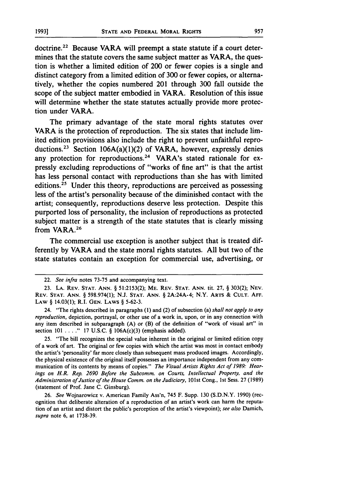doctrine.<sup>22</sup> Because VARA will preempt a state statute if a court determines that the statute covers the same subject matter as VARA, the question is whether a limited edition of 200 or fewer copies is a single and distinct category from a limited edition of 300 or fewer copies, or alternatively, whether the copies numbered 201 through 300 fall outside the scope of the subject matter embodied in VARA. Resolution of this issue will determine whether the state statutes actually provide more protection under VARA.

The primary advantage of the state moral rights statutes over VARA is the protection of reproduction. The six states that include limited edition provisions also include the right to prevent unfaithful reproductions.<sup>23</sup> Section 106A(a)(1)(2) of VARA, however, expressly denies any protection for reproductions.<sup>24</sup> VARA's stated rationale for expressly excluding reproductions of "works of fine art" is that the artist has less personal contact with reproductions than she has with limited editions.<sup>25</sup> Under this theory, reproductions are perceived as possessing less of the artist's personality because of the diminished contact with the artist; consequently, reproductions deserve less protection. Despite this purported loss of personality, the inclusion of reproductions as protected subject matter is a strength of the state statutes that is clearly missing from VARA.<sup>26</sup>

The commercial use exception is another subject that is treated differently by VARA and the state moral rights statutes. All but two of the state statutes contain an exception for commercial use, advertising, or

**25.** "The bill recognizes the special value inherent in the original or limited edition copy of a work of art. The original or few copies with which the artist was most in contact embody the artist's 'personality' far more closely than subsequent mass produced images. Accordingly, the physical existence of the original itself possesses an importance independent from any communication of its contents **by** means of copies." *The Visual Artists Rights Act of 1989: Hearings on H.R. Rep. 2690 Before the* Subcomm. on Courts, *Intellectual Property, and the Administration of Justice of the House Comm. on the Judiciary,* 101st Cong., 1st Sess. 27 (1989) (statement of Prof. Jane C. Ginsburg).

26. *See* Wojnarowicz v. American Family Ass'n, 745 F. Supp. 130 (S.D.N.Y. 1990) (recognition that deliberate alteration of a reproduction of an artist's work can harm the reputation of an artist and distort the public's perception of the artist's viewpoint); *see also* Damich, *supra* note 6, at 1738-39.

957

<sup>22.</sup> *See infra* notes 73-75 and accompanying text.

<sup>23.</sup> **LA.** REV. **STAT. ANN.** § 51:2153(2); **ME. REV. STAT. ANN.** tit. **27,** § 303(2); **NEV. REV. STAT. ANN.** § **598.974(l); N.J. STAT. ANN.** § 2A:24A-4; N.Y. **ARTS** & **CULT. AFF. LAW** § 14.03(1); R.I. **GEN. LAWS** § **5-62-3.**

<sup>24. &</sup>quot;The rights described in paragraphs **(1)** and (2) of subsection (a) *shall not apply to any reproduction,* depiction, portrayal, or other use of a work in, upon, or in any connection with any item described in subparagraph **(A)** or (B) of the definition of "work of visual art" in section **101 .... " 17 U.S.C.** § 106A(c)(3) (emphasis added).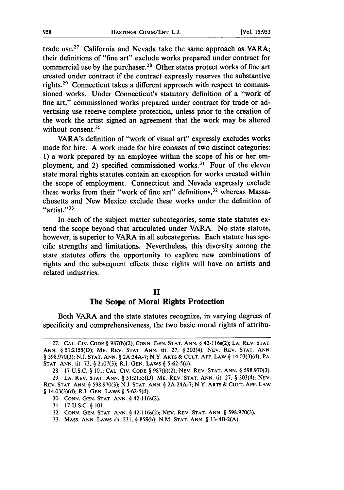trade use.<sup>27</sup> California and Nevada take the same approach as VARA; their definitions of "fine art" exclude works prepared under contract for commercial use by the purchaser.<sup>28</sup> Other states protect works of fine art created under contract if the contract expressly reserves the substantive rights.29 Connecticut takes a different approach with respect to commissioned works. Under Connecticut's statutory definition of a "work of fine art," commissioned works prepared under contract for trade or advertising use receive complete protection, unless prior to the creation of the work the artist signed an agreement that the work may be altered without consent.<sup>30</sup>

VARA's definition of "work of visual art" expressly excludes works made for hire. A work made for hire consists of two distinct categories: 1) a work prepared by an employee within the scope of his or her employment, and 2) specified commissioned works.<sup>31</sup> Four of the eleven state moral rights statutes contain an exception for works created within the scope of employment. Connecticut and Nevada expressly exclude these works from their "work of fine art" definitions, $32$  whereas Massachusetts and New Mexico exclude these works under the definition of "artist."<sup>33</sup>

In each of the subject matter subcategories, some state statutes extend the scope beyond that articulated under VARA. No state statute, however, is superior to VARA in all subcategories. Each statute has specific strengths and limitations. Nevertheless, this diversity among the state statutes offers the opportunity to explore new combinations of rights and the subsequent effects these rights will have on artists and related industries.

#### **II**

## The Scope of Moral Rights Protection

Both VARA and the state statutes recognize, in varying degrees of specificity and comprehensiveness, the two basic moral rights of attribu-

**<sup>27.</sup> CAL. CIV. CODE** § **987(b)(2); CONN. GEN. STAT. ANN.** § 42-116s(2); **LA. REV. STAT. ANN.** § **51:2155(D); ME. REV. STAT. ANN. tit. 27,** § 303(4); **NEV. REV. STAT. ANN.** § **598.970(3); N.J. STAT. ANN.** § **2A:24A-7; N.Y. ARTS & CULT. AFF. LAW** § **14.03(3)(d); PA. STAT. ANN. tit. 73,** § **2107(3);** R.I. **GEN. LAWS** § **5-62-5(d).**

**<sup>28. 17</sup> U.S.C.** § **101; CAL. CIV. CODE** § **987(b)(2); NEV. REV. STAT. ANN.** § **598.970(3).**

**<sup>29.</sup> LA. REV. STAT. ANN.** § **51:2155(D); ME. REV. STAT. ANN.** tit. **27,** § 303(4); **NEV. REV. STAT. ANN.** § **598.970(3); N.J. STAT. ANN.** § **2A:24A-7;** N.Y. **ARTS & CULT. AFF. LAW** § 14.03(3)(d); R.I. **GEN.** LAWS § 5-62-5(d).

<sup>30.</sup> **CONN. GEN. STAT. ANN.** § 42-116s(2).

<sup>31. 17</sup> U.S.C. § 101.

**<sup>32.</sup> CONN. GEN. STAT. ANN.** § 42-116S(2); NEV. REV. **STAT. ANN.** § 598.970(3).

<sup>33.</sup> MASS. **ANN.** LAWS **ch. 231,** § 85S(b); N.M. **STAT. ANN.** § 13-4B-2(A).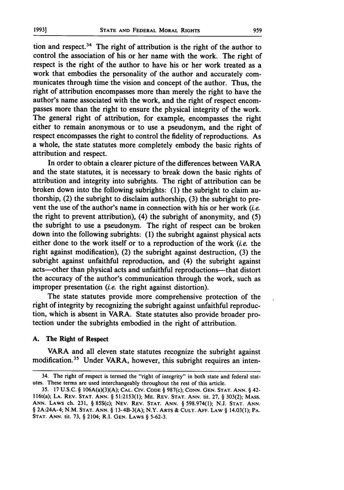tion and respect.<sup>34</sup> The right of attribution is the right of the author to control the association of his or her name with the work. The right of respect is the right of the author to have his or her work treated as a work that embodies the personality of the author and accurately communicates through time the vision and concept of the author. Thus, the right of attribution encompasses more than merely the right to have the author's name associated with the work, and the right of respect encompasses more than the right to ensure the physical integrity of the work. The general right of attribution, for example, encompasses the right either to remain anonymous or to use a pseudonym, and the right of respect encompasses the right to control the fidelity of reproductions. As a whole, the state statutes more completely embody the basic rights of attribution and respect.

In order to obtain a clearer picture of the differences between VARA and the state statutes, it is necessary to break down the basic rights of attribution and integrity into subrights. The right of attribution can be broken down into the following subrights: **(1)** the subright to claim authorship, (2) the subright to disclaim authorship, **(3)** the subright to prevent the use of the author's name in connection with his or her work *(i.e.* the right to prevent attribution), (4) the subright of anonymity, and (5) the subright to use a pseudonym. The right of respect can be broken down into the following subrights: **(1)** the subright against physical acts either done to the work itself or to a reproduction of the work *(i.e.* the right against modification), (2) the subright against destruction, **(3)** the subright against unfaithful reproduction, and (4) the subright against acts-other than physical acts and unfaithful reproductions-that distort the accuracy of the author's communication through the work, such as improper presentation *(i.e.* the right against distortion).

The state statutes provide more comprehensive protection of the right of integrity **by** recognizing the subright against unfaithful reproduction, which is absent in VARA. State statutes also provide broader protection under the subrights embodied in the right of attribution.

#### **A.** The Right of Respect

VARA and all eleven state statutes recognize the subright against modification. 35 Under VARA, however, this subright requires an inten-

<sup>34.</sup> The right of respect is termed the "right of integrity" in both state and federal statutes. These terms are used interchangeably throughout the rest of this article.

**<sup>35. 17</sup> U.S.C.** § 106A(a)(3)(A); **CAL. CIV. CODE** § 987(c); CONN. **GEN. STAT. ANN.** § 42- 116t(a); **LA.** REV. **STAT. ANN.** § 51:2153(1); ME. REV. **STAT. ANN.** tit. 27, § 303(2); **MASS. ANN.** LAWS ch. 231, § 85S(c); NEV. REV. **STAT. ANN.** § 598.974(l); N.J. **STAT. ANN.** § 2A:24A-4; N.M. **STAT. ANN.** § 13-4B-3(A); N.Y. ARTS & **CULT. AFF.** LAW § 14.03(1); PA. **STAT. ANN.** tit. 73, § 2104; R.I. **GEN.** LAWS § 5-62-3.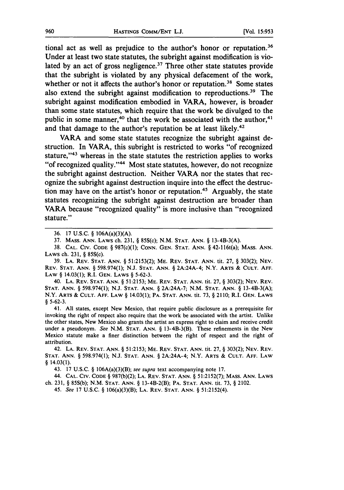tional act as well as prejudice to the author's honor or reputation.36 Under at least two state statutes, the subright against modification is violated by an act of gross negligence.<sup>37</sup> Three other state statutes provide that the subright is violated **by** any physical defacement of the work, whether or not it affects the author's honor or reputation.<sup>38</sup> Some states also extend the subright against modification to reproductions. 39 The subright against modification embodied in VARA, however, is broader than some state statutes, which require that the work be divulged to the public in some manner,<sup>40</sup> that the work be associated with the author,<sup>4</sup> and that damage to the author's reputation be at least likely.<sup>42</sup>

VARA and some state statutes recognize the subright against destruction. In VARA, this subright is restricted to works "of recognized stature," $43$  whereas in the state statutes the restriction applies to works "of recognized quality."<sup>44</sup> Most state statutes, however, do not recognize the subright against destruction. Neither VARA nor the states that recognize the subright against destruction inquire into the effect the destruction may have on the artist's honor or reputation.<sup>45</sup> Arguably, the state statutes recognizing the subright against destruction are broader than VARA because "recognized quality" is more inclusive than "recognized stature."

**39. LA. REV. STAT. ANN.** § **51:2153(2); ME. REV. STAT. ANN. tit. 27,** § **303(2); NEV. REV. STAT. ANN.** § **598.974(1); N.J. STAT. ANN.** § 2A:24A-4; N.Y. **ARTS & CULT. AFF. LAW** § **14.03(1);** R.I. **GEN. LAWS** § **5-62-3.**

40. **LA. REV. STAT. ANN.** § **51:2153; ME. REV. STAT. ANN. tit. 27,** § **303(2); NEV. REV. STAT. ANN.** § **598.974(1); N.J. STAT. ANN.** § **2A:24A-7; N.M. STAT. ANN.** § 13-4B-3(A); N.Y. **ARTS & CULT. AFF. LAW** § 14.03(1); **PA. STAT. ANN. tit. 73,** § **2110;** R.I. **GEN. LAWS** § **5-62-3.**

41. **All** states, except New Mexico, that require public disclosure as a prerequisite for invoking the right of respect also require that the work be associated with the artist. Unlike the other states, New Mexico also grants the artist an express right to claim and receive credit under a pseudonym. *See* **N.M. STAT. ANN.** § 13-4B-3(B). These refinements in the New Mexico statute make a finer distinction between the right of respect and the right of attribution.

42. **LA. REV. STAT. ANN.** § 51:2153; ME. **REV. STAT. ANN.** tit. **27,** § 303(2); **NEV.** REV. **STAT. ANN.** § 598.974(1); **N.J. STAT. ANN.** § 2A:24A-4; N.Y. ARTS **& CULT. AFF. LAW** § 14.03(1).

43. **17** U.S.C. § 106A(a)(3)(B); *see supra* text accompanying note 17.

44. **CAL.** CiV. **CODE** § 987(b)(2); **LA.** REV. **STAT. ANN.** § 51:2152(7); **MASS. ANN. LAWS**

ch. 231, § 85S(b); N.M. STAT. **ANN.** § 13-4B-2(B); PA. **STAT. ANN.** tit. **73,** § 2102.

45. *See* **17** U.S.C. § 106(a)(3)(B); LA. REV. **STAT. ANN.** § 51:2152(4).

**<sup>36. 17</sup> U.S.C.** § 106A(a)(3)(A).

**<sup>37.</sup> MASS. ANN. LAWS** ch. **231,** § 85S(c); **N.M. STAT. ANN.** § 13-4B-3(A).

**<sup>38.</sup> CAL. CIV. CODE** § 987(c)(1); **CONN. GEN. STAT. ANN.** § 42-116t(a); **MASS. ANN. LAWS** ch. **231,** § 85S(c).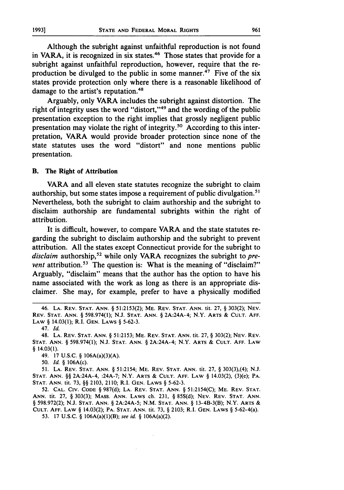Although the subright against unfaithful reproduction is not found in VARA, it is recognized in six states.<sup>46</sup> Those states that provide for a subright against unfaithful reproduction, however, require that the reproduction be divulged to the public in some manner. 47 Five of the six states provide protection only where there is a reasonable likelihood of damage to the artist's reputation.<sup>48</sup>

Arguably, only VARA includes the subright against distortion. The right of integrity uses the word "distort,"<sup>49</sup> and the wording of the public presentation exception to the right implies that grossly negligent public presentation may violate the right of integrity.<sup>50</sup> According to this interpretation, VARA would provide broader protection since none of the state statutes uses the word "distort" and none mentions public presentation.

#### B. The Right of Attribution

VARA and all eleven state statutes recognize the subright to claim authorship, but some states impose a requirement of public divulgation.<sup>5</sup> Nevertheless, both the subright to claim authorship and the subright to disclaim authorship are fundamental subrights within the right of attribution.

It is difficult, however, to compare VARA and the state statutes regarding the subright to disclaim authorship and the subright to prevent attribution. **All** the states except Connecticut provide for the subright to disclaim authorship,<sup>52</sup> while only VARA recognizes the subright to *prevent* attribution.<sup>53</sup> The question is: What is the meaning of "disclaim?" Arguably, "disclaim" means that the author has the option to have his name associated with the work as long as there is an appropriate disclaimer. She may, for example, prefer to have a physically modified

47. *Id.*

48. **LA.** REV. **STAT. ANN. §** 51:2153; ME. REV. STAT. **ANN.** tit. 27, **§** 303(2); NEV. REV. **STAT. ANN. §** 598.974(1); N.J. **STAT. ANN. §** 2A:24A-4; N.Y. **ARTS** & **CULT. AFF.** LAW **§** 14.03(1).

49. 17 U.S.C. **§** 106A(a)(3)(A).

50. Id. **§** 106A(c).

51. **LA.** REV. **STAT.** ANN. **§** 51:2154; ME. **REV. STAT. ANN.** tit. 27, **§** 303(3),(4); **N.J. STAT. ANN. §§** 2A:24A-4, :24A-7; N.Y. ARTS **& CULT. AFF.** LAW **§** 14.03(2), (3)(e); PA. **STAT. ANN.** tit. 73, **§§** 2103, 2110; R.I. **GEN.** LAWS **§** 5-62-3.

52. **CAL. CIV. CODE §** 987(d); **LA.** REV. **STAT. ANN. §** 51:2154(C); ME. REV. **STAT. ANN.** tit. 27, **§** 303(3); **MASS. ANN.** LAWS **ch.** 231, § 85S(d); **NEV.** REV. **STAT. ANN. §** 598.972(2); N.J. **STAT. ANN. § 2A:24A-5;** N.M. **STAT. ANN.** § 13-4B-3(B); N.Y. ARTS & **CULT. AFF.** LAW **§** 14.03(2); PA. **STAT. ANN.** tit. 73, **§** 2103; R.I. **GEN.** LAWS **§** 5-62-4(a).

<sup>46.</sup> **LA. REV. STAT. ANN. §** 51:2153(2); ME. REV. **STAT. ANN.** tit. **27, §** 303(2); **NEV. REV. STAT. ANN. §** 598.974(l); **N.J. STAT. ANN. §** 2A:24A-4; N.Y. **ARTS & CULT. AFF.** LAW **§** 14.03(1); R.I. **GEN.** LAWS **§ 5-62-3.**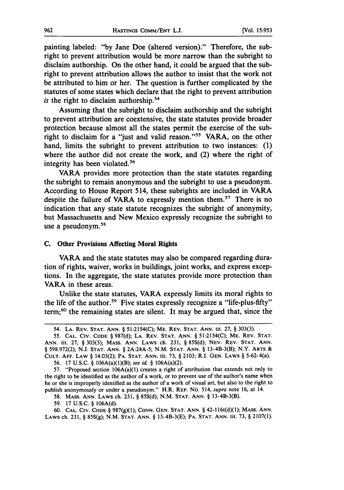painting labeled: **"by** Jane Doe (altered version)." Therefore, the subright to prevent attribution would be more narrow than the subright to disclaim authorship. On the other hand, it could be argued that the subright to prevent attribution allows the author to insist that the work not be attributed to him or her. The question is further complicated by the statutes of some states which declare that the right to prevent attribution *is* the right to disclaim authorship.54

Assuming that the subright to disclaim authorship and the subright to prevent attribution are coextensive, the state statutes provide broader protection because almost all the states permit the exercise of the subright to disclaim for a "just and valid reason."<sup>55</sup> VARA, on the other hand, limits the subright to prevent attribution to two instances: (1) where the author did not create the work, and (2) where the right of integrity has been violated.<sup>56</sup>

VARA provides more protection than the state statutes regarding the subright to remain anonymous and the subright to use a pseudonym. According to House Report 514, these subrights are included in VARA despite the failure of VARA to expressly mention them.<sup>57</sup> There is no indication that any state statute recognizes the subright of anonymity, but Massachusetts and New Mexico expressly recognize the subright to use a pseudonym.<sup>58</sup>

#### **C.** Other Provisions Affecting Moral Rights

VARA and the state statutes may also be compared regarding duration of rights, waiver, works in buildings, joint works, and express exceptions. In the aggregate, the state statutes provide more protection than VARA in these areas.

Unlike the state statutes, VARA expressly limits its moral rights to the life of the author.<sup>59</sup> Five states expressly recognize a "life-plus-fifty" term; 60 the remaining states are silent. It may be argued that, since the

**60. CAL. CIV. CODE** § 987(g)(1); **CONN. GEN. STAT. ANN.** § 42-116t(d)(1); **MASS. ANN. LAWS** ch. **231,** § **85S(g); N.M. STAT. ANN.** § **13-4B-3(E); PA. STAT. ANN. tit. 73,** § **2107(1).**

<sup>54.</sup> **LA.** REV. **STAT. ANN.** § 51:2154(C); ME. REV. **STAT. ANN.** tit. 27, § 303(3).

<sup>55.</sup> **CAL.** CIV. **CODE** § 987(d); **LA.** REV. **STAT.** ANN. § 51:2154(C); ME. REV. **STAT. ANN.** tit. 27, § 303(3); **MASS. ANN.** LAWS ch. 231, § 85S(d); **NEV.** REV. **STAT. ANN.** § 598.972(2); N.J. **STAT. ANN.** § 2A:24A-5; N.M. **STAT. ANN.** § 13-4B-3(B); N.Y. ARTS & **CULT. AFF.** LAW § 14.03(2); **PA. STAT. ANN.** tit. 73, § 2103; R.I. **GEN.** LAWS § 5-62-4(a).

<sup>56. 17</sup> U.S.C. § 106A(a)(1)(B); *see* id. § 106A(a)(2).

<sup>57. &</sup>quot;Proposed section 106A(a)(1) creates a right of attribution that extends not only to the right to be identified as the author of a work, or to prevent use of the author's name when he or she is improperly identified as the author of a work of visual art, but also to the right to publish anonymously or under a pseudonym." H.R. REP. No. 514, *supra* note 16, at 14.

<sup>58.</sup> **MASS. ANN.** LAWS ch. 231, § 85S(d); N.M. **STAT. ANN.** § 13-4B-3(B).

<sup>59. 17</sup> U.S.C. § 106A(d).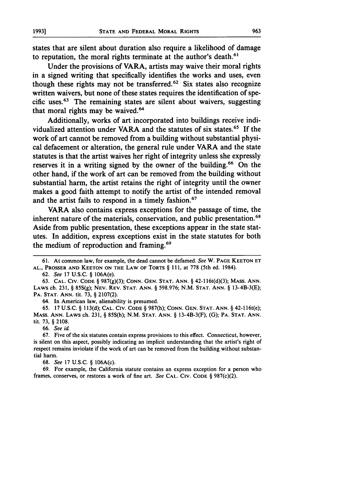states that are silent about duration also require a likelihood of damage to reputation, the moral rights terminate at the author's death.<sup>61</sup>

Under the provisions of VARA, artists may waive their moral rights in a signed writing that specifically identifies the works and uses, even though these rights may not be transferred.<sup>62</sup> Six states also recognize written waivers, but none of these states requires the identification of specific uses.<sup>63</sup> The remaining states are silent about waivers, suggesting that moral rights may be waived.<sup>6</sup>

Additionally, works of art incorporated into buildings receive individualized attention under VARA and the statutes of six states.65 **If** the work of art cannot be removed from a building without substantial physical defacement or alteration, the general rule under VARA and the state statutes is that the artist waives her right of integrity unless she expressly reserves it in a writing signed **by** the owner of the building.66 On the other hand, if the work of art can be removed from the building without substantial harm, the artist retains the right of integrity until the owner makes a good faith attempt to notify the artist of the intended removal and the artist fails to respond in a timely fashion.<sup>67</sup>

VARA also contains express exceptions for the passage of time, the inherent nature of the materials, conservation, and public presentation.<sup>68</sup> Aside from public presentation, these exceptions appear in the state statutes. In addition, express exceptions exist in the state statutes for both the medium of reproduction and framing.<sup>69</sup>

64. In **American law, alienability is presumed.**

65. 17 U.S.C. § 113(d); **CAL. CIv. CODE** § 987(h); **CONN. GEN. STAT. ANN.** § 42-116t(e); **MASS. ANN.** LAWS **ch. 231,** § **85S(h);** N.M. **STAT. ANN.** § 13-4B-3(F), (G); PA. **STAT. ANN.** tit. **73, § 2108.**

**66.** See id.

**67.** Five of the six statutes contain express provisions to this effect. Connecticut, however, is silent on this aspect, possibly indicating an implicit understanding that the artist's right of respect remains inviolate if the work of art can be removed from the building without substantial harm.

**68.** See 17 U.S.C. § 106A(c).

69. For example, the California statute contains an express exception for a person who frames, conserves, or restores a work of fine art. See **CAL. CIv. CODE** § 987(c)(2).

<sup>61.</sup> At common law, for example, the dead cannot be defamed. See **W. PAGE KEETON ET AL., PROSSER AND KEETON ON THE LAW OF TORTS** § **11,** at **778** (5th ed. 1984).

<sup>62.</sup> See **17** U.S.C. § 106A(e).

<sup>63.</sup> **CAL. CIV. CODE** § 987(g)(3); **CONN. GEN. STAT. ANN.** § 42-116t(d)(3); **MASS. ANN.** LAWS **ch. 231,** § **85S(g); NEV.** REV. **STAT. ANN.** § 598.976; N.M. **STAT. ANN.** § 13-4B-3(E); **PA. STAT. ANN.** tit. 73, § 2107(2).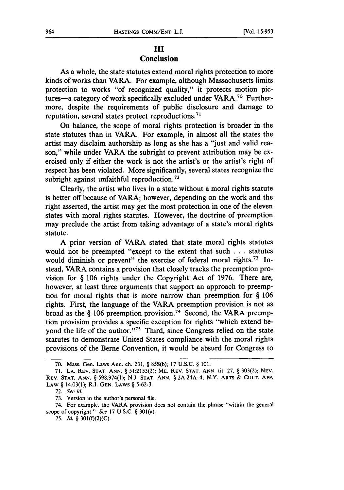## **III** Conclusion

As a whole, the state statutes extend moral rights protection to more kinds of works than VARA. For example, although Massachusetts limits protection to works "of recognized quality," it protects motion pictures-a category of work specifically excluded under VARA.<sup>70</sup> Furthermore, despite the requirements of public disclosure and damage to reputation, several states protect reproductions.<sup>71</sup>

On balance, the scope of moral rights protection is broader in the state statutes than in VARA. For example, in almost all the states the artist may disclaim authorship as long as she has a "just and valid reason," while under VARA the subright to prevent attribution may be exercised only if either the work is not the artist's or the artist's right of respect has been violated. More significantly, several states recognize the subright against unfaithful reproduction.<sup>72</sup>

Clearly, the artist who lives in a state without a moral rights statute is better off because of VARA; however, depending on the work and the right asserted, the artist may get the most protection in one of the eleven states with moral rights statutes. However, the doctrine of preemption may preclude the artist from taking advantage of a state's moral rights statute.

A prior version of VARA stated that state moral rights statutes would not be preempted "except to the extent that such . . . statutes would diminish or prevent" the exercise of federal moral rights.<sup>73</sup> Instead, VARA contains a provision that closely tracks the preemption provision for § 106 rights under the Copyright Act of 1976. There are, however, at least three arguments that support an approach to preemption for moral rights that is more narrow than preemption for § 106 rights. First, the language of the VARA preemption provision is not as broad as the § 106 preemption provision.<sup>74</sup> Second, the VARA preemption provision provides a specific exception for rights "which extend beyond the life of the author."<sup>75</sup> Third, since Congress relied on the state statutes to demonstrate United States compliance with the moral rights provisions of the Berne Convention, it would be absurd for Congress to

<sup>70.</sup> Mass. Gen. Laws Ann. ch. 231, § 85S(b); 17 U.S.C. § 101.

<sup>71.</sup> **LA.** REV. **STAT. ANN.** § **51:2153(2); ME. REV. STAT. ANN.** tit. 27, § 303(2); **NEV. REV. STAT. ANN.** § 598.974(1); N.J. **STAT. ANN.** § 2A:24A-4; N.Y. **ARTS** & **CULT. AFF. LAW** § 14.03(1); R.I. **GEN. LAWS** § 5-62-3.

<sup>72.</sup> *See id.*

**<sup>73.</sup> Version in the** author's personal file.

<sup>74.</sup> For example, the VARA provision does not contain the phrase "within the general scope of copyright." *See* **17** U.S.C. § 301(a).

<sup>75.</sup> *Id.* § **301(f)(2)(C).**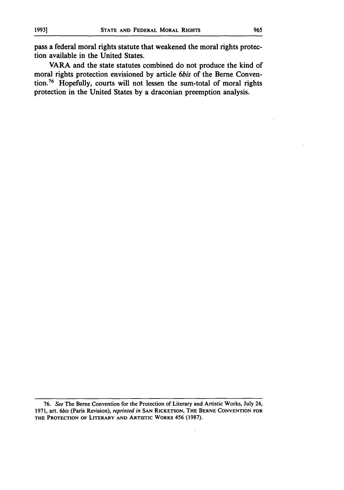pass a federal moral rights statute that weakened the moral rights protection available in the United States.

VARA and the state statutes combined do not produce the kind of moral rights protection envisioned **by** article *6bis* of the Berne Conven**tion.76** Hopefully, courts will not lessen the sum-total of moral rights protection in the United States **by** a draconian preemption analysis.

**<sup>76.</sup>** *See* The **Berne** Convention for the Protection of Literary and Artistic Works, July 24, **1971, art.** *6bis* **(Paris** Revision), *reprinted in* **SAN** RICKETSON, **THE BERNE CONVENTION FOR THE PROTECTION OF LITERARY AND ARTISTIC WORKS** 456 **(1987).**